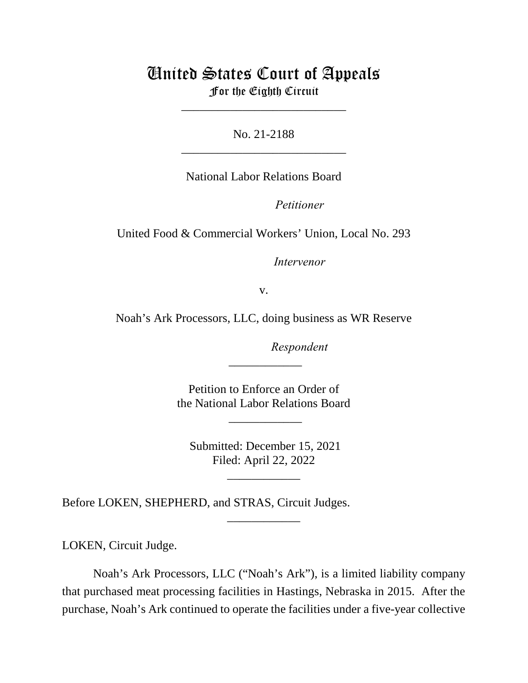# United States Court of Appeals For the Eighth Circuit

\_\_\_\_\_\_\_\_\_\_\_\_\_\_\_\_\_\_\_\_\_\_\_\_\_\_\_

No. 21-2188 \_\_\_\_\_\_\_\_\_\_\_\_\_\_\_\_\_\_\_\_\_\_\_\_\_\_\_

National Labor Relations Board

Petitioner

United Food & Commercial Workers' Union, Local No. 293

Intervenor

v.

Noah's Ark Processors, LLC, doing business as WR Reserve

lllllllllllllllllllll*Respondent*

Petition to Enforce an Order of the National Labor Relations Board

\_\_\_\_\_\_\_\_\_\_\_\_

 $\overline{\phantom{a}}$ 

 Submitted: December 15, 2021 Filed: April 22, 2022

\_\_\_\_\_\_\_\_\_\_\_\_

\_\_\_\_\_\_\_\_\_\_\_\_

Before LOKEN, SHEPHERD, and STRAS, Circuit Judges.

LOKEN, Circuit Judge.

Noah's Ark Processors, LLC ("Noah's Ark"), is a limited liability company that purchased meat processing facilities in Hastings, Nebraska in 2015. After the purchase, Noah's Ark continued to operate the facilities under a five-year collective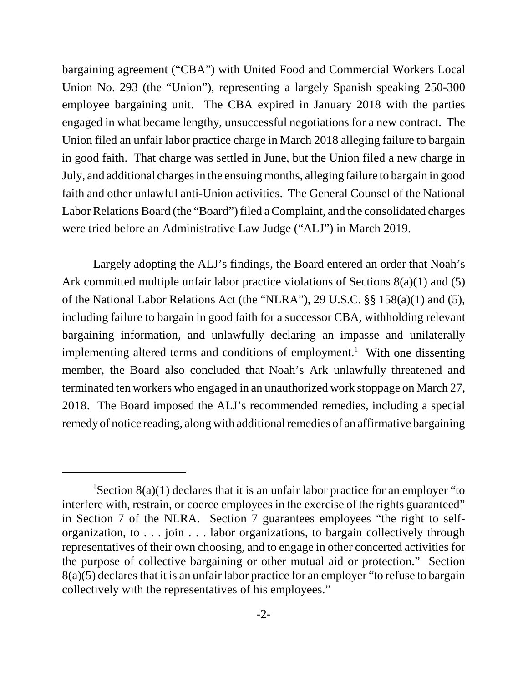bargaining agreement ("CBA") with United Food and Commercial Workers Local Union No. 293 (the "Union"), representing a largely Spanish speaking 250-300 employee bargaining unit. The CBA expired in January 2018 with the parties engaged in what became lengthy, unsuccessful negotiations for a new contract. The Union filed an unfair labor practice charge in March 2018 alleging failure to bargain in good faith. That charge was settled in June, but the Union filed a new charge in July, and additional charges in the ensuing months, alleging failure to bargain in good faith and other unlawful anti-Union activities. The General Counsel of the National Labor Relations Board (the "Board") filed a Complaint, and the consolidated charges were tried before an Administrative Law Judge ("ALJ") in March 2019.

Largely adopting the ALJ's findings, the Board entered an order that Noah's Ark committed multiple unfair labor practice violations of Sections 8(a)(1) and (5) of the National Labor Relations Act (the "NLRA"), 29 U.S.C. §§ 158(a)(1) and (5), including failure to bargain in good faith for a successor CBA, withholding relevant bargaining information, and unlawfully declaring an impasse and unilaterally implementing altered terms and conditions of employment.<sup>1</sup> With one dissenting member, the Board also concluded that Noah's Ark unlawfully threatened and terminated ten workers who engaged in an unauthorized work stoppage on March 27, 2018. The Board imposed the ALJ's recommended remedies, including a special remedy of notice reading, along with additional remedies of an affirmative bargaining

<sup>&</sup>lt;sup>1</sup>Section 8(a)(1) declares that it is an unfair labor practice for an employer "to interfere with, restrain, or coerce employees in the exercise of the rights guaranteed" in Section 7 of the NLRA. Section 7 guarantees employees "the right to selforganization, to . . . join . . . labor organizations, to bargain collectively through representatives of their own choosing, and to engage in other concerted activities for the purpose of collective bargaining or other mutual aid or protection." Section 8(a)(5) declares that it is an unfair labor practice for an employer "to refuse to bargain collectively with the representatives of his employees."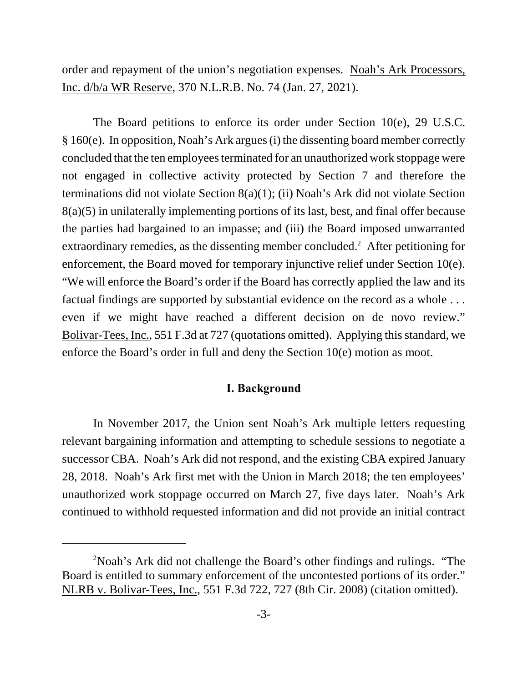order and repayment of the union's negotiation expenses. Noah's Ark Processors, Inc. d/b/a WR Reserve, 370 N.L.R.B. No. 74 (Jan. 27, 2021).

The Board petitions to enforce its order under Section 10(e), 29 U.S.C. § 160(e). In opposition, Noah's Ark argues (i) the dissenting board member correctly concluded that the ten employees terminated for an unauthorized work stoppage were not engaged in collective activity protected by Section 7 and therefore the terminations did not violate Section 8(a)(1); (ii) Noah's Ark did not violate Section 8(a)(5) in unilaterally implementing portions of its last, best, and final offer because the parties had bargained to an impasse; and (iii) the Board imposed unwarranted extraordinary remedies, as the dissenting member concluded.<sup>2</sup> After petitioning for enforcement, the Board moved for temporary injunctive relief under Section 10(e). "We will enforce the Board's order if the Board has correctly applied the law and its factual findings are supported by substantial evidence on the record as a whole . . . even if we might have reached a different decision on de novo review." Bolivar-Tees, Inc., 551 F.3d at 727 (quotations omitted). Applying this standard, we enforce the Board's order in full and deny the Section 10(e) motion as moot.

### **I. Background**

In November 2017, the Union sent Noah's Ark multiple letters requesting relevant bargaining information and attempting to schedule sessions to negotiate a successor CBA. Noah's Ark did not respond, and the existing CBA expired January 28, 2018. Noah's Ark first met with the Union in March 2018; the ten employees' unauthorized work stoppage occurred on March 27, five days later. Noah's Ark continued to withhold requested information and did not provide an initial contract

<sup>&</sup>lt;sup>2</sup>Noah's Ark did not challenge the Board's other findings and rulings. "The Board is entitled to summary enforcement of the uncontested portions of its order." NLRB v. Bolivar-Tees, Inc., 551 F.3d 722, 727 (8th Cir. 2008) (citation omitted).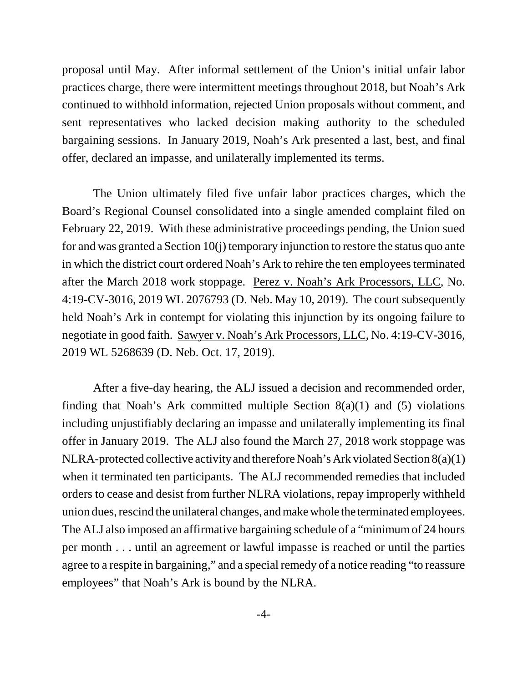proposal until May. After informal settlement of the Union's initial unfair labor practices charge, there were intermittent meetings throughout 2018, but Noah's Ark continued to withhold information, rejected Union proposals without comment, and sent representatives who lacked decision making authority to the scheduled bargaining sessions. In January 2019, Noah's Ark presented a last, best, and final offer, declared an impasse, and unilaterally implemented its terms.

The Union ultimately filed five unfair labor practices charges, which the Board's Regional Counsel consolidated into a single amended complaint filed on February 22, 2019. With these administrative proceedings pending, the Union sued for and was granted a Section 10(j) temporary injunction to restore the status quo ante in which the district court ordered Noah's Ark to rehire the ten employees terminated after the March 2018 work stoppage. Perez v. Noah's Ark Processors, LLC, No. 4:19-CV-3016, 2019 WL 2076793 (D. Neb. May 10, 2019). The court subsequently held Noah's Ark in contempt for violating this injunction by its ongoing failure to negotiate in good faith. Sawyer v. Noah's Ark Processors, LLC, No. 4:19-CV-3016, 2019 WL 5268639 (D. Neb. Oct. 17, 2019).

After a five-day hearing, the ALJ issued a decision and recommended order, finding that Noah's Ark committed multiple Section  $8(a)(1)$  and  $(5)$  violations including unjustifiably declaring an impasse and unilaterally implementing its final offer in January 2019. The ALJ also found the March 27, 2018 work stoppage was NLRA-protected collective activity and therefore Noah's Ark violated Section 8(a)(1) when it terminated ten participants. The ALJ recommended remedies that included orders to cease and desist from further NLRA violations, repay improperly withheld union dues, rescind the unilateral changes, and make whole the terminated employees. The ALJ also imposed an affirmative bargaining schedule of a "minimum of 24 hours per month . . . until an agreement or lawful impasse is reached or until the parties agree to a respite in bargaining," and a special remedy of a notice reading "to reassure employees" that Noah's Ark is bound by the NLRA.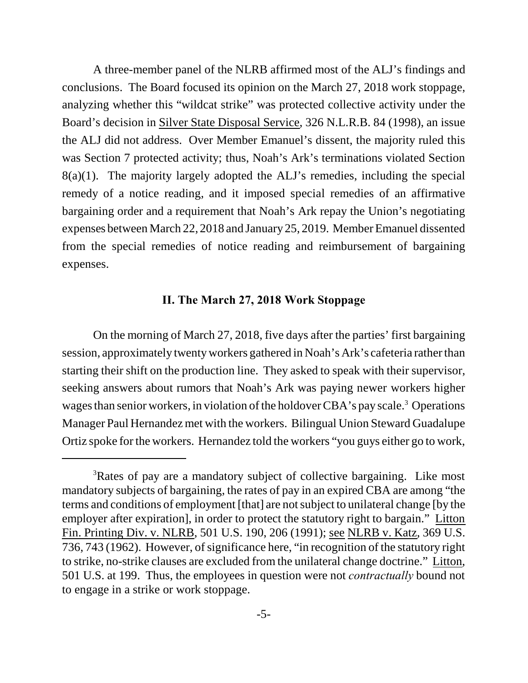A three-member panel of the NLRB affirmed most of the ALJ's findings and conclusions. The Board focused its opinion on the March 27, 2018 work stoppage, analyzing whether this "wildcat strike" was protected collective activity under the Board's decision in Silver State Disposal Service, 326 N.L.R.B. 84 (1998), an issue the ALJ did not address. Over Member Emanuel's dissent, the majority ruled this was Section 7 protected activity; thus, Noah's Ark's terminations violated Section 8(a)(1). The majority largely adopted the ALJ's remedies, including the special remedy of a notice reading, and it imposed special remedies of an affirmative bargaining order and a requirement that Noah's Ark repay the Union's negotiating expenses between March 22, 2018 and January 25, 2019. Member Emanuel dissented from the special remedies of notice reading and reimbursement of bargaining expenses.

## **II. The March 27, 2018 Work Stoppage**

On the morning of March 27, 2018, five days after the parties' first bargaining session, approximately twenty workers gathered in Noah's Ark's cafeteria rather than starting their shift on the production line. They asked to speak with their supervisor, seeking answers about rumors that Noah's Ark was paying newer workers higher wages than senior workers, in violation of the holdover CBA's pay scale.<sup>3</sup> Operations Manager Paul Hernandez met with the workers. Bilingual Union Steward Guadalupe Ortiz spoke for the workers. Hernandez told the workers "you guys either go to work,

<sup>&</sup>lt;sup>3</sup>Rates of pay are a mandatory subject of collective bargaining. Like most mandatory subjects of bargaining, the rates of pay in an expired CBA are among "the terms and conditions of employment [that] are not subject to unilateral change [by the employer after expiration], in order to protect the statutory right to bargain." Litton Fin. Printing Div. v. NLRB, 501 U.S. 190, 206 (1991); see NLRB v. Katz, 369 U.S. 736, 743 (1962). However, of significance here, "in recognition of the statutory right to strike, no-strike clauses are excluded from the unilateral change doctrine." Litton, 501 U.S. at 199. Thus, the employees in question were not *contractually* bound not to engage in a strike or work stoppage.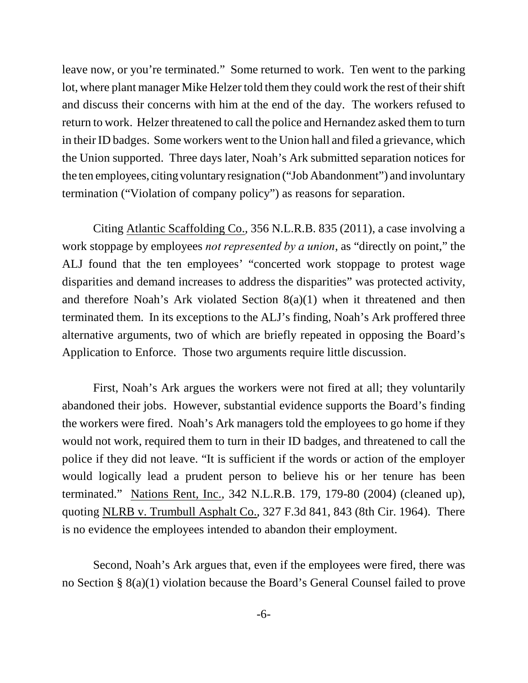leave now, or you're terminated." Some returned to work. Ten went to the parking lot, where plant manager Mike Helzer told them they could work the rest of their shift and discuss their concerns with him at the end of the day. The workers refused to return to work. Helzer threatened to call the police and Hernandez asked them to turn in their ID badges. Some workers went to the Union hall and filed a grievance, which the Union supported. Three days later, Noah's Ark submitted separation notices for the ten employees, citing voluntary resignation ("Job Abandonment") and involuntary termination ("Violation of company policy") as reasons for separation.

Citing Atlantic Scaffolding Co., 356 N.L.R.B. 835 (2011), a case involving a work stoppage by employees *not represented by a union*, as "directly on point," the ALJ found that the ten employees' "concerted work stoppage to protest wage disparities and demand increases to address the disparities" was protected activity, and therefore Noah's Ark violated Section 8(a)(1) when it threatened and then terminated them. In its exceptions to the ALJ's finding, Noah's Ark proffered three alternative arguments, two of which are briefly repeated in opposing the Board's Application to Enforce. Those two arguments require little discussion.

First, Noah's Ark argues the workers were not fired at all; they voluntarily abandoned their jobs. However, substantial evidence supports the Board's finding the workers were fired. Noah's Ark managers told the employees to go home if they would not work, required them to turn in their ID badges, and threatened to call the police if they did not leave. "It is sufficient if the words or action of the employer would logically lead a prudent person to believe his or her tenure has been terminated." Nations Rent, Inc., 342 N.L.R.B. 179, 179-80 (2004) (cleaned up), quoting NLRB v. Trumbull Asphalt Co., 327 F.3d 841, 843 (8th Cir. 1964). There is no evidence the employees intended to abandon their employment.

Second, Noah's Ark argues that, even if the employees were fired, there was no Section § 8(a)(1) violation because the Board's General Counsel failed to prove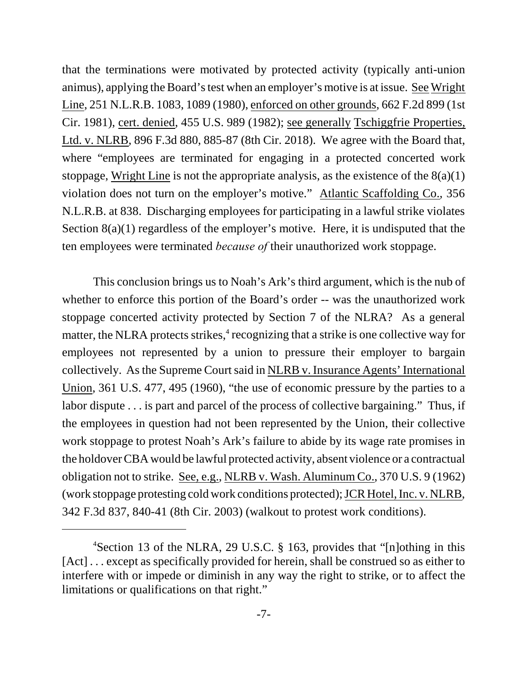that the terminations were motivated by protected activity (typically anti-union animus), applying the Board's test when an employer's motive is at issue. See Wright Line, 251 N.L.R.B. 1083, 1089 (1980), enforced on other grounds, 662 F.2d 899 (1st Cir. 1981), cert. denied, 455 U.S. 989 (1982); see generally Tschiggfrie Properties, Ltd. v. NLRB, 896 F.3d 880, 885-87 (8th Cir. 2018). We agree with the Board that, where "employees are terminated for engaging in a protected concerted work stoppage, Wright Line is not the appropriate analysis, as the existence of the  $8(a)(1)$ violation does not turn on the employer's motive." Atlantic Scaffolding Co., 356 N.L.R.B. at 838. Discharging employees for participating in a lawful strike violates Section 8(a)(1) regardless of the employer's motive. Here, it is undisputed that the ten employees were terminated *because of* their unauthorized work stoppage.

This conclusion brings us to Noah's Ark's third argument, which is the nub of whether to enforce this portion of the Board's order -- was the unauthorized work stoppage concerted activity protected by Section 7 of the NLRA? As a general matter, the NLRA protects strikes,<sup>4</sup> recognizing that a strike is one collective way for employees not represented by a union to pressure their employer to bargain collectively. As the Supreme Court said in NLRB v. Insurance Agents' International Union, 361 U.S. 477, 495 (1960), "the use of economic pressure by the parties to a labor dispute . . . is part and parcel of the process of collective bargaining." Thus, if the employees in question had not been represented by the Union, their collective work stoppage to protest Noah's Ark's failure to abide by its wage rate promises in the holdover CBA would be lawful protected activity, absent violence or a contractual obligation not to strike. See, e.g., NLRB v. Wash. Aluminum Co., 370 U.S. 9 (1962) (work stoppage protesting cold work conditions protected); JCR Hotel, Inc. v. NLRB, 342 F.3d 837, 840-41 (8th Cir. 2003) (walkout to protest work conditions).

<sup>&</sup>lt;sup>4</sup>Section 13 of the NLRA, 29 U.S.C. § 163, provides that "[n]othing in this [Act] ... except as specifically provided for herein, shall be construed so as either to interfere with or impede or diminish in any way the right to strike, or to affect the limitations or qualifications on that right."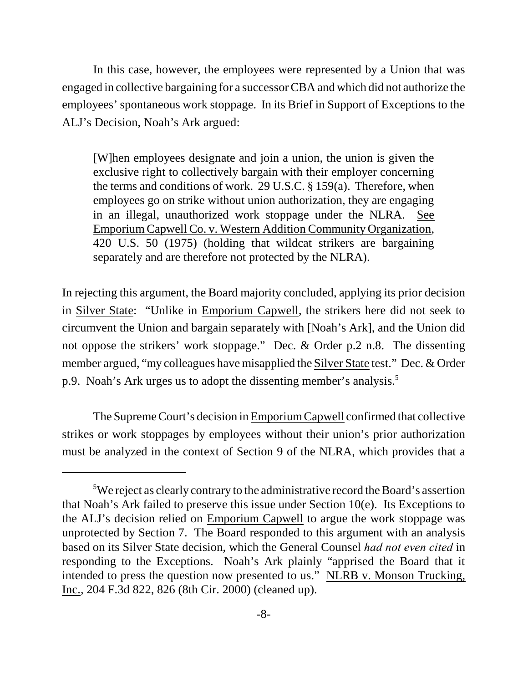In this case, however, the employees were represented by a Union that was engaged in collective bargaining for a successor CBA and which did not authorize the employees' spontaneous work stoppage. In its Brief in Support of Exceptions to the ALJ's Decision, Noah's Ark argued:

[W]hen employees designate and join a union, the union is given the exclusive right to collectively bargain with their employer concerning the terms and conditions of work. 29 U.S.C. § 159(a). Therefore, when employees go on strike without union authorization, they are engaging in an illegal, unauthorized work stoppage under the NLRA. See Emporium Capwell Co. v. Western Addition Community Organization, 420 U.S. 50 (1975) (holding that wildcat strikers are bargaining separately and are therefore not protected by the NLRA).

In rejecting this argument, the Board majority concluded, applying its prior decision in Silver State: "Unlike in Emporium Capwell, the strikers here did not seek to circumvent the Union and bargain separately with [Noah's Ark], and the Union did not oppose the strikers' work stoppage." Dec. & Order p.2 n.8. The dissenting member argued, "my colleagues have misapplied the Silver State test." Dec. & Order p.9. Noah's Ark urges us to adopt the dissenting member's analysis.<sup>5</sup>

The Supreme Court's decision in Emporium Capwell confirmed that collective strikes or work stoppages by employees without their union's prior authorization must be analyzed in the context of Section 9 of the NLRA, which provides that a

<sup>5</sup>We reject as clearly contrary to the administrative record the Board's assertion that Noah's Ark failed to preserve this issue under Section 10(e). Its Exceptions to the ALJ's decision relied on Emporium Capwell to argue the work stoppage was unprotected by Section 7. The Board responded to this argument with an analysis based on its Silver State decision, which the General Counsel *had not even cited* in responding to the Exceptions. Noah's Ark plainly "apprised the Board that it intended to press the question now presented to us." NLRB v. Monson Trucking, Inc., 204 F.3d 822, 826 (8th Cir. 2000) (cleaned up).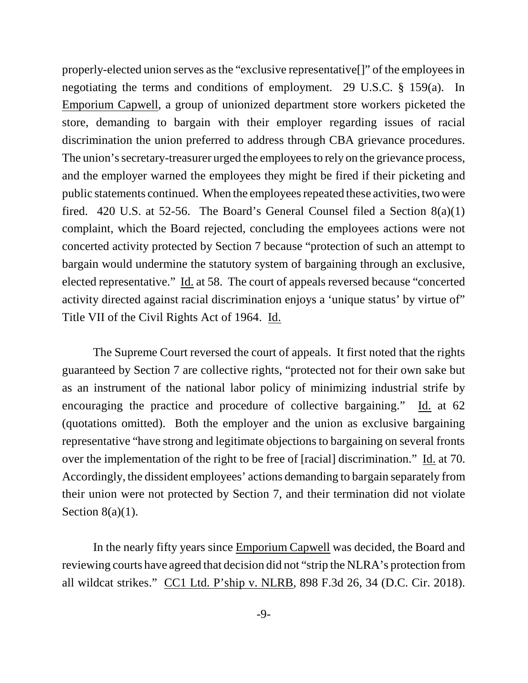properly-elected union serves as the "exclusive representative[]" of the employees in negotiating the terms and conditions of employment. 29 U.S.C. § 159(a). In Emporium Capwell, a group of unionized department store workers picketed the store, demanding to bargain with their employer regarding issues of racial discrimination the union preferred to address through CBA grievance procedures. The union's secretary-treasurer urged the employees to rely on the grievance process, and the employer warned the employees they might be fired if their picketing and public statements continued. When the employees repeated these activities, two were fired. 420 U.S. at 52-56. The Board's General Counsel filed a Section  $8(a)(1)$ complaint, which the Board rejected, concluding the employees actions were not concerted activity protected by Section 7 because "protection of such an attempt to bargain would undermine the statutory system of bargaining through an exclusive, elected representative." Id. at 58. The court of appeals reversed because "concerted activity directed against racial discrimination enjoys a 'unique status' by virtue of" Title VII of the Civil Rights Act of 1964. Id.

The Supreme Court reversed the court of appeals. It first noted that the rights guaranteed by Section 7 are collective rights, "protected not for their own sake but as an instrument of the national labor policy of minimizing industrial strife by encouraging the practice and procedure of collective bargaining." Id. at 62 (quotations omitted). Both the employer and the union as exclusive bargaining representative "have strong and legitimate objections to bargaining on several fronts over the implementation of the right to be free of [racial] discrimination." Id. at 70. Accordingly, the dissident employees' actions demanding to bargain separately from their union were not protected by Section 7, and their termination did not violate Section  $8(a)(1)$ .

In the nearly fifty years since Emporium Capwell was decided, the Board and reviewing courts have agreed that decision did not "strip the NLRA's protection from all wildcat strikes." CC1 Ltd. P'ship v. NLRB, 898 F.3d 26, 34 (D.C. Cir. 2018).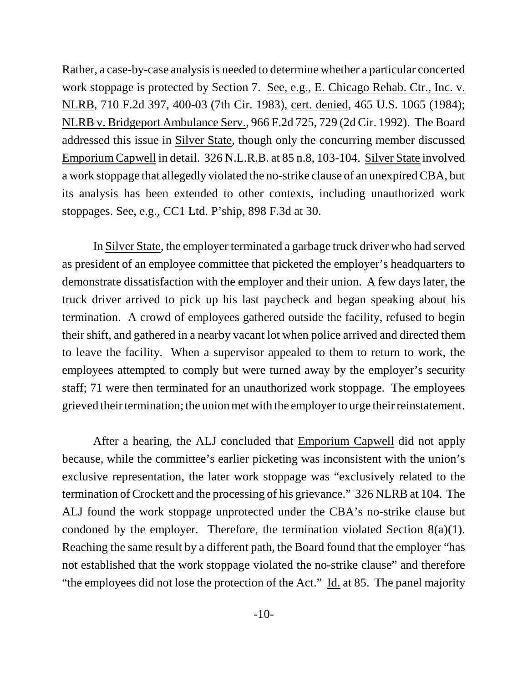Rather, a case-by-case analysis is needed to determine whether a particular concerted work stoppage is protected by Section 7. See, e.g., E. Chicago Rehab. Ctr., Inc. v. NLRB, 710 F.2d 397, 400-03 (7th Cir. 1983), cert. denied, 465 U.S. 1065 (1984); NLRB v. Bridgeport Ambulance Serv., 966 F.2d 725, 729 (2d Cir. 1992). The Board addressed this issue in Silver State, though only the concurring member discussed Emporium Capwell in detail. 326 N.L.R.B. at 85 n.8, 103-104. Silver State involved a work stoppage that allegedly violated the no-strike clause of an unexpired CBA, but its analysis has been extended to other contexts, including unauthorized work stoppages. See, e.g., CC1 Ltd. P'ship, 898 F.3d at 30.

In Silver State, the employer terminated a garbage truck driver who had served as president of an employee committee that picketed the employer's headquarters to demonstrate dissatisfaction with the employer and their union. A few days later, the truck driver arrived to pick up his last paycheck and began speaking about his termination. A crowd of employees gathered outside the facility, refused to begin their shift, and gathered in a nearby vacant lot when police arrived and directed them to leave the facility. When a supervisor appealed to them to return to work, the employees attempted to comply but were turned away by the employer's security staff; 71 were then terminated for an unauthorized work stoppage. The employees grieved their termination; the union met with the employer to urge their reinstatement.

After a hearing, the ALJ concluded that Emporium Capwell did not apply because, while the committee's earlier picketing was inconsistent with the union's exclusive representation, the later work stoppage was "exclusively related to the termination of Crockett and the processing of his grievance." 326 NLRB at 104. The ALJ found the work stoppage unprotected under the CBA's no-strike clause but condoned by the employer. Therefore, the termination violated Section 8(a)(1). Reaching the same result by a different path, the Board found that the employer "has not established that the work stoppage violated the no-strike clause" and therefore "the employees did not lose the protection of the Act." Id. at 85. The panel majority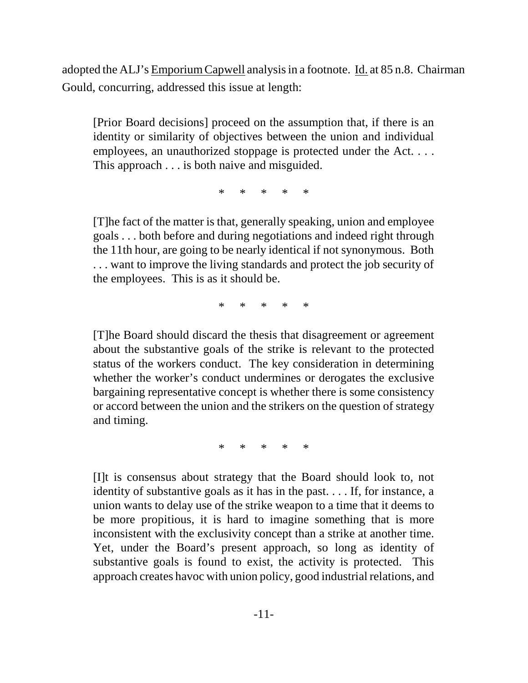adopted the ALJ's Emporium Capwell analysis in a footnote. Id. at 85 n.8. Chairman Gould, concurring, addressed this issue at length:

[Prior Board decisions] proceed on the assumption that, if there is an identity or similarity of objectives between the union and individual employees, an unauthorized stoppage is protected under the Act.... This approach . . . is both naive and misguided.

\* \* \* \* \*

[T]he fact of the matter is that, generally speaking, union and employee goals . . . both before and during negotiations and indeed right through the 11th hour, are going to be nearly identical if not synonymous. Both . . . want to improve the living standards and protect the job security of the employees. This is as it should be.

\* \* \* \* \*

[T]he Board should discard the thesis that disagreement or agreement about the substantive goals of the strike is relevant to the protected status of the workers conduct. The key consideration in determining whether the worker's conduct undermines or derogates the exclusive bargaining representative concept is whether there is some consistency or accord between the union and the strikers on the question of strategy and timing.

\* \* \* \* \*

[I]t is consensus about strategy that the Board should look to, not identity of substantive goals as it has in the past. . . . If, for instance, a union wants to delay use of the strike weapon to a time that it deems to be more propitious, it is hard to imagine something that is more inconsistent with the exclusivity concept than a strike at another time. Yet, under the Board's present approach, so long as identity of substantive goals is found to exist, the activity is protected. This approach creates havoc with union policy, good industrial relations, and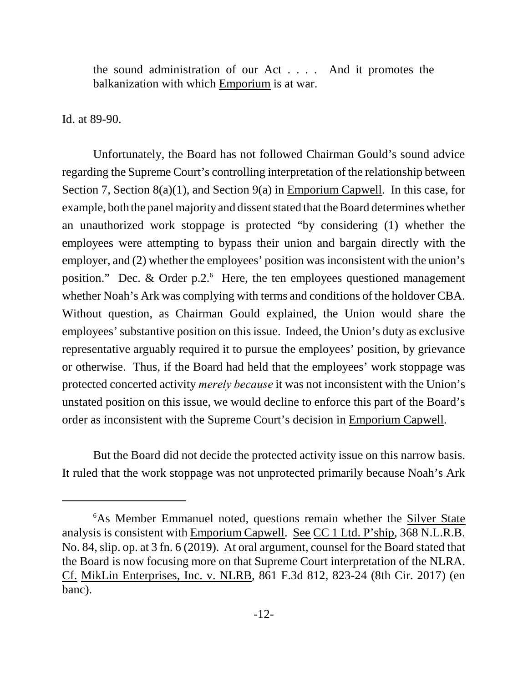the sound administration of our Act . . . . And it promotes the balkanization with which Emporium is at war.

Id. at 89-90.

Unfortunately, the Board has not followed Chairman Gould's sound advice regarding the Supreme Court's controlling interpretation of the relationship between Section 7, Section 8(a)(1), and Section 9(a) in Emporium Capwell. In this case, for example, both the panel majority and dissent stated that the Board determines whether an unauthorized work stoppage is protected "by considering (1) whether the employees were attempting to bypass their union and bargain directly with the employer, and (2) whether the employees' position was inconsistent with the union's position." Dec. & Order p.2. $6$  Here, the ten employees questioned management whether Noah's Ark was complying with terms and conditions of the holdover CBA. Without question, as Chairman Gould explained, the Union would share the employees' substantive position on this issue. Indeed, the Union's duty as exclusive representative arguably required it to pursue the employees' position, by grievance or otherwise. Thus, if the Board had held that the employees' work stoppage was protected concerted activity *merely because* it was not inconsistent with the Union's unstated position on this issue, we would decline to enforce this part of the Board's order as inconsistent with the Supreme Court's decision in Emporium Capwell.

But the Board did not decide the protected activity issue on this narrow basis. It ruled that the work stoppage was not unprotected primarily because Noah's Ark

<sup>&</sup>lt;sup>6</sup>As Member Emmanuel noted, questions remain whether the **Silver State** analysis is consistent with Emporium Capwell. See CC 1 Ltd. P'ship, 368 N.L.R.B. No. 84, slip. op. at 3 fn. 6 (2019). At oral argument, counsel for the Board stated that the Board is now focusing more on that Supreme Court interpretation of the NLRA. Cf. MikLin Enterprises, Inc. v. NLRB, 861 F.3d 812, 823-24 (8th Cir. 2017) (en banc).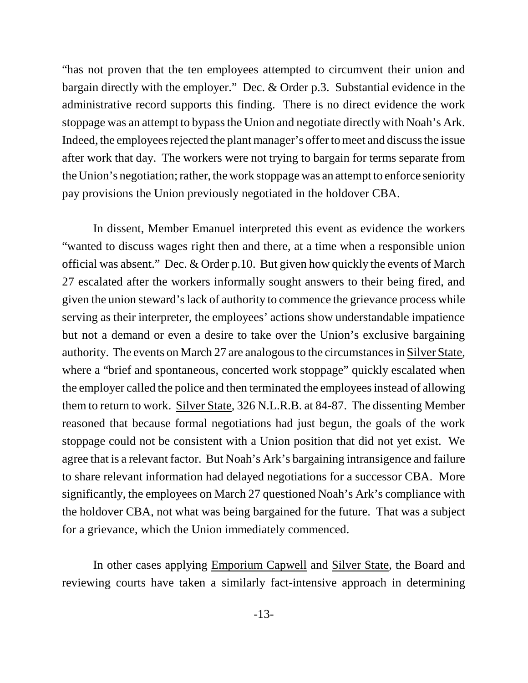"has not proven that the ten employees attempted to circumvent their union and bargain directly with the employer." Dec. & Order p.3. Substantial evidence in the administrative record supports this finding. There is no direct evidence the work stoppage was an attempt to bypass the Union and negotiate directly with Noah's Ark. Indeed, the employees rejected the plant manager's offer to meet and discuss the issue after work that day. The workers were not trying to bargain for terms separate from the Union's negotiation; rather, the work stoppage was an attempt to enforce seniority pay provisions the Union previously negotiated in the holdover CBA.

In dissent, Member Emanuel interpreted this event as evidence the workers "wanted to discuss wages right then and there, at a time when a responsible union official was absent." Dec. & Order p.10. But given how quickly the events of March 27 escalated after the workers informally sought answers to their being fired, and given the union steward's lack of authority to commence the grievance process while serving as their interpreter, the employees' actions show understandable impatience but not a demand or even a desire to take over the Union's exclusive bargaining authority. The events on March 27 are analogous to the circumstances in Silver State, where a "brief and spontaneous, concerted work stoppage" quickly escalated when the employer called the police and then terminated the employees instead of allowing them to return to work. Silver State, 326 N.L.R.B. at 84-87. The dissenting Member reasoned that because formal negotiations had just begun, the goals of the work stoppage could not be consistent with a Union position that did not yet exist. We agree that is a relevant factor. But Noah's Ark's bargaining intransigence and failure to share relevant information had delayed negotiations for a successor CBA. More significantly, the employees on March 27 questioned Noah's Ark's compliance with the holdover CBA, not what was being bargained for the future. That was a subject for a grievance, which the Union immediately commenced.

In other cases applying Emporium Capwell and Silver State, the Board and reviewing courts have taken a similarly fact-intensive approach in determining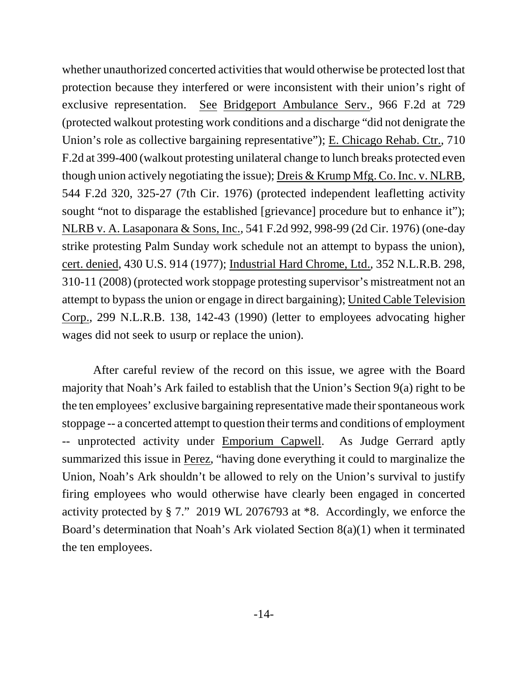whether unauthorized concerted activities that would otherwise be protected lost that protection because they interfered or were inconsistent with their union's right of exclusive representation. See Bridgeport Ambulance Serv., 966 F.2d at 729 (protected walkout protesting work conditions and a discharge "did not denigrate the Union's role as collective bargaining representative"); E. Chicago Rehab. Ctr., 710 F.2d at 399-400 (walkout protesting unilateral change to lunch breaks protected even though union actively negotiating the issue); Dreis & Krump Mfg. Co. Inc. v. NLRB, 544 F.2d 320, 325-27 (7th Cir. 1976) (protected independent leafletting activity sought "not to disparage the established [grievance] procedure but to enhance it"); NLRB v. A. Lasaponara & Sons, Inc., 541 F.2d 992, 998-99 (2d Cir. 1976) (one-day strike protesting Palm Sunday work schedule not an attempt to bypass the union), cert. denied, 430 U.S. 914 (1977); Industrial Hard Chrome, Ltd., 352 N.L.R.B. 298, 310-11 (2008) (protected work stoppage protesting supervisor's mistreatment not an attempt to bypass the union or engage in direct bargaining); United Cable Television Corp., 299 N.L.R.B. 138, 142-43 (1990) (letter to employees advocating higher wages did not seek to usurp or replace the union).

After careful review of the record on this issue, we agree with the Board majority that Noah's Ark failed to establish that the Union's Section 9(a) right to be the ten employees' exclusive bargaining representative made their spontaneous work stoppage -- a concerted attempt to question their terms and conditions of employment -- unprotected activity under Emporium Capwell. As Judge Gerrard aptly summarized this issue in Perez, "having done everything it could to marginalize the Union, Noah's Ark shouldn't be allowed to rely on the Union's survival to justify firing employees who would otherwise have clearly been engaged in concerted activity protected by § 7." 2019 WL 2076793 at \*8. Accordingly, we enforce the Board's determination that Noah's Ark violated Section 8(a)(1) when it terminated the ten employees.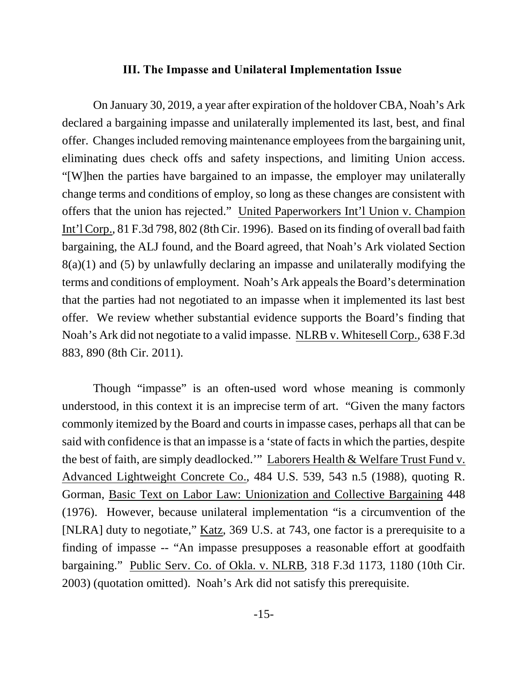### **III. The Impasse and Unilateral Implementation Issue**

On January 30, 2019, a year after expiration of the holdover CBA, Noah's Ark declared a bargaining impasse and unilaterally implemented its last, best, and final offer. Changes included removing maintenance employees from the bargaining unit, eliminating dues check offs and safety inspections, and limiting Union access. "[W]hen the parties have bargained to an impasse, the employer may unilaterally change terms and conditions of employ, so long as these changes are consistent with offers that the union has rejected." United Paperworkers Int'l Union v. Champion Int'l Corp., 81 F.3d 798, 802 (8th Cir. 1996). Based on its finding of overall bad faith bargaining, the ALJ found, and the Board agreed, that Noah's Ark violated Section 8(a)(1) and (5) by unlawfully declaring an impasse and unilaterally modifying the terms and conditions of employment. Noah's Ark appeals the Board's determination that the parties had not negotiated to an impasse when it implemented its last best offer. We review whether substantial evidence supports the Board's finding that Noah's Ark did not negotiate to a valid impasse. NLRB v. Whitesell Corp., 638 F.3d 883, 890 (8th Cir. 2011).

Though "impasse" is an often-used word whose meaning is commonly understood, in this context it is an imprecise term of art. "Given the many factors commonly itemized by the Board and courts in impasse cases, perhaps all that can be said with confidence is that an impasse is a 'state of facts in which the parties, despite the best of faith, are simply deadlocked.'" Laborers Health & Welfare Trust Fund v. Advanced Lightweight Concrete Co., 484 U.S. 539, 543 n.5 (1988), quoting R. Gorman, Basic Text on Labor Law: Unionization and Collective Bargaining 448 (1976). However, because unilateral implementation "is a circumvention of the [NLRA] duty to negotiate," Katz, 369 U.S. at 743, one factor is a prerequisite to a finding of impasse -- "An impasse presupposes a reasonable effort at goodfaith bargaining." Public Serv. Co. of Okla. v. NLRB, 318 F.3d 1173, 1180 (10th Cir. 2003) (quotation omitted). Noah's Ark did not satisfy this prerequisite.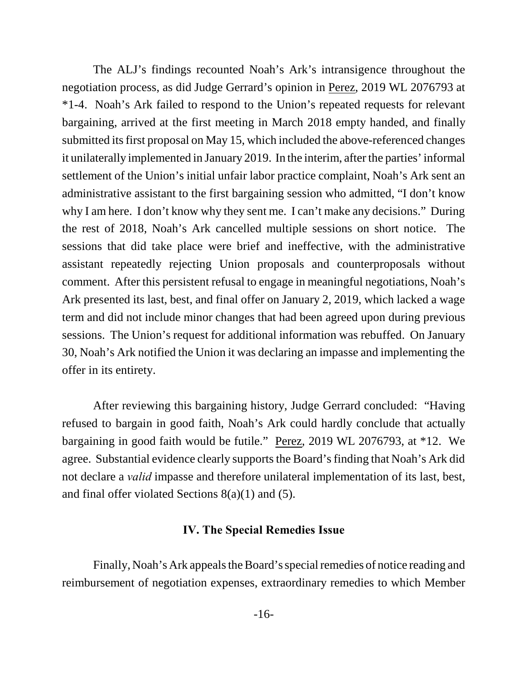The ALJ's findings recounted Noah's Ark's intransigence throughout the negotiation process, as did Judge Gerrard's opinion in Perez, 2019 WL 2076793 at \*1-4. Noah's Ark failed to respond to the Union's repeated requests for relevant bargaining, arrived at the first meeting in March 2018 empty handed, and finally submitted its first proposal on May 15, which included the above-referenced changes it unilaterally implemented in January 2019. In the interim, after the parties' informal settlement of the Union's initial unfair labor practice complaint, Noah's Ark sent an administrative assistant to the first bargaining session who admitted, "I don't know why I am here. I don't know why they sent me. I can't make any decisions." During the rest of 2018, Noah's Ark cancelled multiple sessions on short notice. The sessions that did take place were brief and ineffective, with the administrative assistant repeatedly rejecting Union proposals and counterproposals without comment. After this persistent refusal to engage in meaningful negotiations, Noah's Ark presented its last, best, and final offer on January 2, 2019, which lacked a wage term and did not include minor changes that had been agreed upon during previous sessions. The Union's request for additional information was rebuffed. On January 30, Noah's Ark notified the Union it was declaring an impasse and implementing the offer in its entirety.

After reviewing this bargaining history, Judge Gerrard concluded: "Having refused to bargain in good faith, Noah's Ark could hardly conclude that actually bargaining in good faith would be futile." Perez, 2019 WL 2076793, at \*12. We agree. Substantial evidence clearly supports the Board's finding that Noah's Ark did not declare a *valid* impasse and therefore unilateral implementation of its last, best, and final offer violated Sections 8(a)(1) and (5).

#### **IV. The Special Remedies Issue**

Finally, Noah's Ark appeals the Board's special remedies of notice reading and reimbursement of negotiation expenses, extraordinary remedies to which Member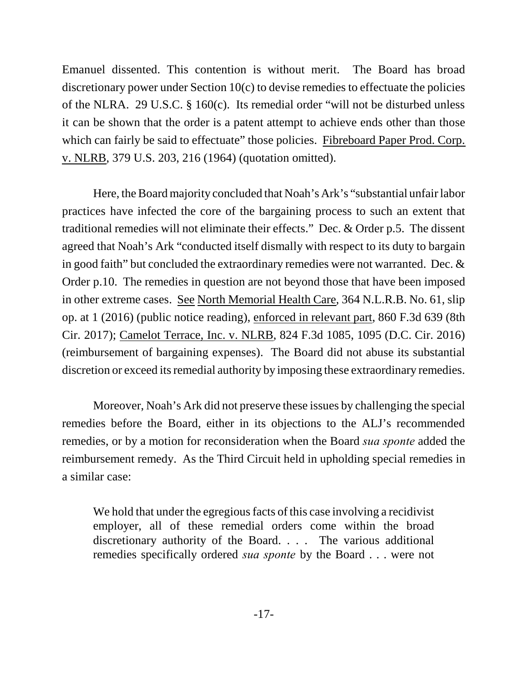Emanuel dissented. This contention is without merit. The Board has broad discretionary power under Section 10(c) to devise remedies to effectuate the policies of the NLRA. 29 U.S.C. § 160(c). Its remedial order "will not be disturbed unless it can be shown that the order is a patent attempt to achieve ends other than those which can fairly be said to effectuate" those policies. Fibreboard Paper Prod. Corp. v. NLRB, 379 U.S. 203, 216 (1964) (quotation omitted).

Here, the Board majority concluded that Noah's Ark's "substantial unfair labor practices have infected the core of the bargaining process to such an extent that traditional remedies will not eliminate their effects." Dec. & Order p.5. The dissent agreed that Noah's Ark "conducted itself dismally with respect to its duty to bargain in good faith" but concluded the extraordinary remedies were not warranted. Dec. & Order p.10. The remedies in question are not beyond those that have been imposed in other extreme cases. See North Memorial Health Care, 364 N.L.R.B. No. 61, slip op. at 1 (2016) (public notice reading), enforced in relevant part, 860 F.3d 639 (8th Cir. 2017); Camelot Terrace, Inc. v. NLRB, 824 F.3d 1085, 1095 (D.C. Cir. 2016) (reimbursement of bargaining expenses). The Board did not abuse its substantial discretion or exceed its remedial authority by imposing these extraordinary remedies.

Moreover, Noah's Ark did not preserve these issues by challenging the special remedies before the Board, either in its objections to the ALJ's recommended remedies, or by a motion for reconsideration when the Board *sua sponte* added the reimbursement remedy. As the Third Circuit held in upholding special remedies in a similar case:

We hold that under the egregious facts of this case involving a recidivist employer, all of these remedial orders come within the broad discretionary authority of the Board. . . . The various additional remedies specifically ordered *sua sponte* by the Board . . . were not